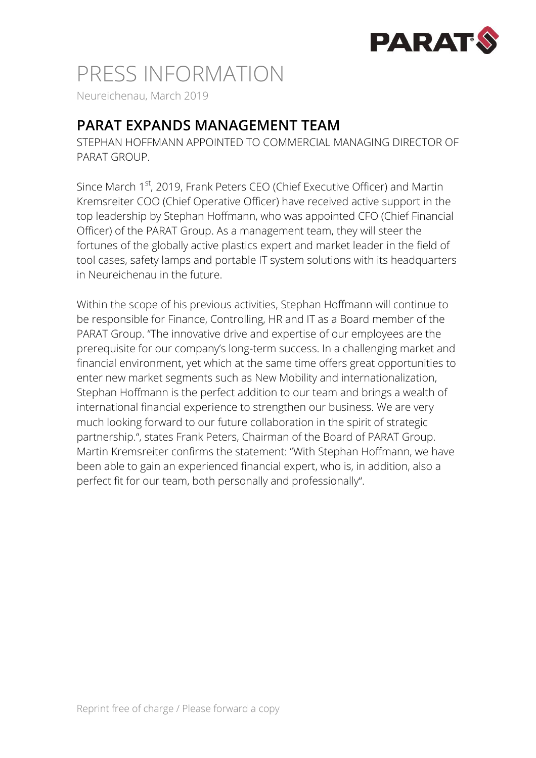

## PRESS INFORMATION

Neureichenau, March 2019

## **PARAT EXPANDS MANAGEMENT TEAM**

STEPHAN HOFFMANN APPOINTED TO COMMERCIAL MANAGING DIRECTOR OF PARAT GROUP.

Since March 1<sup>st</sup>, 2019, Frank Peters CEO (Chief Executive Officer) and Martin Kremsreiter COO (Chief Operative Officer) have received active support in the top leadership by Stephan Hoffmann, who was appointed CFO (Chief Financial Officer) of the PARAT Group. As a management team, they will steer the fortunes of the globally active plastics expert and market leader in the field of tool cases, safety lamps and portable IT system solutions with its headquarters in Neureichenau in the future.

Within the scope of his previous activities, Stephan Hoffmann will continue to be responsible for Finance, Controlling, HR and IT as a Board member of the PARAT Group. "The innovative drive and expertise of our employees are the prerequisite for our company's long-term success. In a challenging market and financial environment, yet which at the same time offers great opportunities to enter new market segments such as New Mobility and internationalization, Stephan Hoffmann is the perfect addition to our team and brings a wealth of international financial experience to strengthen our business. We are very much looking forward to our future collaboration in the spirit of strategic partnership.", states Frank Peters, Chairman of the Board of PARAT Group. Martin Kremsreiter confirms the statement: "With Stephan Hoffmann, we have been able to gain an experienced financial expert, who is, in addition, also a perfect fit for our team, both personally and professionally".